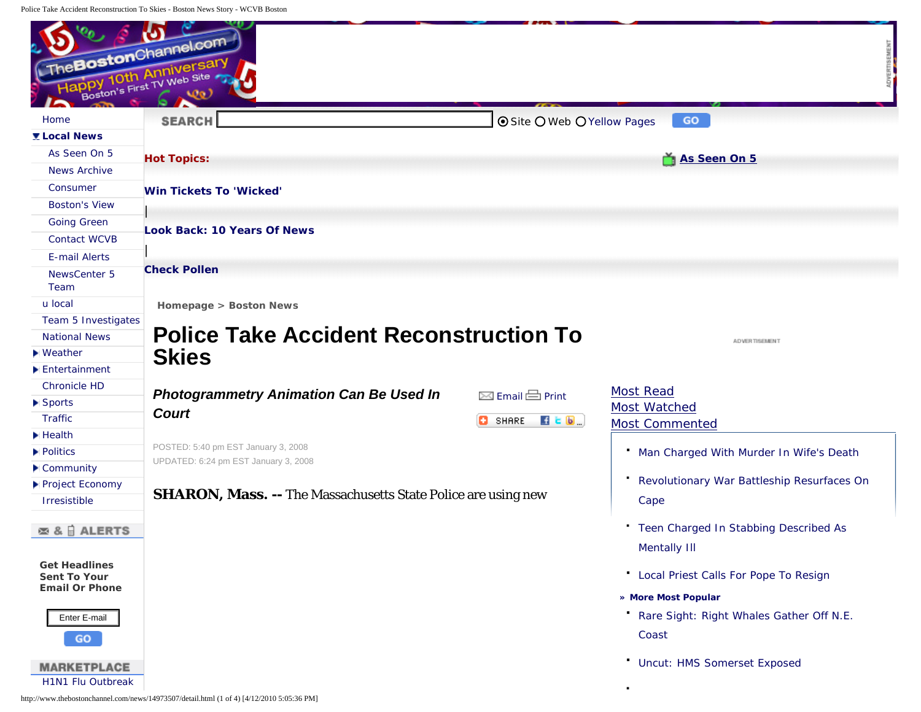<span id="page-0-0"></span>Police Take Accident Reconstruction To Skies - Boston News Story - WCVB Boston

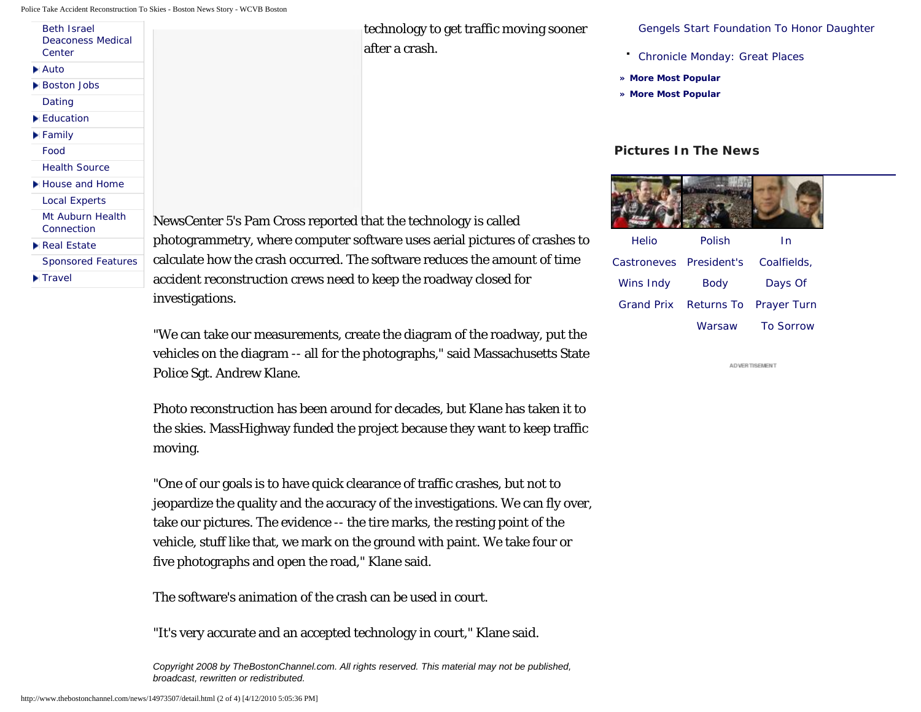Police Take Accident Reconstruction To Skies - Boston News Story - WCVB Boston

| <b>Beth Israel</b><br><b>Deaconess Medical</b><br>Center |                        |
|----------------------------------------------------------|------------------------|
| i⊾ Auto                                                  |                        |
| <b>Boston Jobs</b>                                       |                        |
| Dating                                                   |                        |
| Education                                                |                        |
| <b>Family</b>                                            |                        |
| Food                                                     |                        |
| <b>Health Source</b>                                     |                        |
| House and Home                                           |                        |
| <b>Local Experts</b>                                     |                        |
| Mt Auburn Health<br>Connection                           | NewsCenter 5'          |
| <b>Real Estate</b>                                       | photogramme            |
| <b>Sponsored Features</b>                                | calculate how <b>i</b> |
| $\blacksquare$ Travel                                    | accident recon         |
|                                                          | .                      |

technology to get traffic moving sooner after a crash.

[Gengels Start Foundation To Honor Daughter](http://www.thebostonchannel.com/video/23124447/index.html)

[Chronicle Monday: Great Places](http://www.thebostonchannel.com/video/23104235/index.html)

- **[» More Most Popular](http://www.thebostonchannel.com/mostpopular/)**
- **[» More Most Popular](http://www.thebostonchannel.com/mostpopular/)**

## **Pictures In The News**



| Helio                   | Polish                            | In               |
|-------------------------|-----------------------------------|------------------|
| Castroneves President's |                                   | Coalfields,      |
| Wins Indy               | <b>Body</b>                       | Days Of          |
|                         | Grand Prix Returns To Prayer Turn |                  |
|                         | Warsaw                            | <b>To Sorrow</b> |

ADVERTISEMENT

's Pam Cross reported that the technology is called try, where computer software uses aerial pictures of crashes to the crash occurred. The software reduces the amount of time astruction crews need to keep the roadway closed for investigations.

"We can take our measurements, create the diagram of the roadway, put the vehicles on the diagram -- all for the photographs," said Massachusetts State Police Sgt. Andrew Klane.

Photo reconstruction has been around for decades, but Klane has taken it to the skies. MassHighway funded the project because they want to keep traffic moving.

"One of our goals is to have quick clearance of traffic crashes, but not to jeopardize the quality and the accuracy of the investigations. We can fly over, take our pictures. The evidence -- the tire marks, the resting point of the vehicle, stuff like that, we mark on the ground with paint. We take four or five photographs and open the road," Klane said.

The software's animation of the crash can be used in court.

"It's very accurate and an accepted technology in court," Klane said.

*Copyright 2008 by TheBostonChannel.com. All rights reserved. This material may not be published, broadcast, rewritten or redistributed.*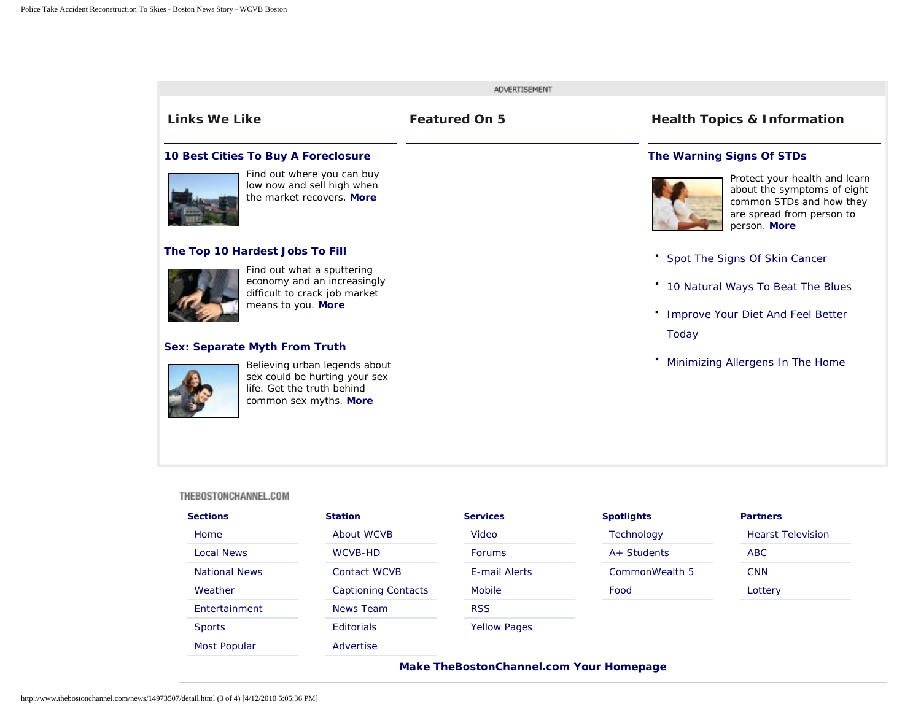

## THEBOSTONCHANNEL.COM

| <b>Sections</b>      | <b>Station</b>             | <b>Services</b>     | <b>Spotlights</b> | <b>Partners</b>          |
|----------------------|----------------------------|---------------------|-------------------|--------------------------|
| Home                 | About WCVB                 | Video               | Technology        | <b>Hearst Television</b> |
| <b>Local News</b>    | WCVB-HD                    | <b>Forums</b>       | $A+$ Students     | <b>ABC</b>               |
| <b>National News</b> | Contact WCVB               | E-mail Alerts       | CommonWealth 5    | <b>CNN</b>               |
| Weather              | <b>Captioning Contacts</b> | <b>Mobile</b>       | Food              | Lottery                  |
| Entertainment        | News Team                  | <b>RSS</b>          |                   |                          |
| <b>Sports</b>        | <b>Editorials</b>          | <b>Yellow Pages</b> |                   |                          |
| <b>Most Popular</b>  | Advertise                  |                     |                   |                          |
|                      |                            |                     |                   |                          |

## **[Make TheBostonChannel.com Your Homepage](http://www.thebostonchannel.com/news/1032852/detail.html)**